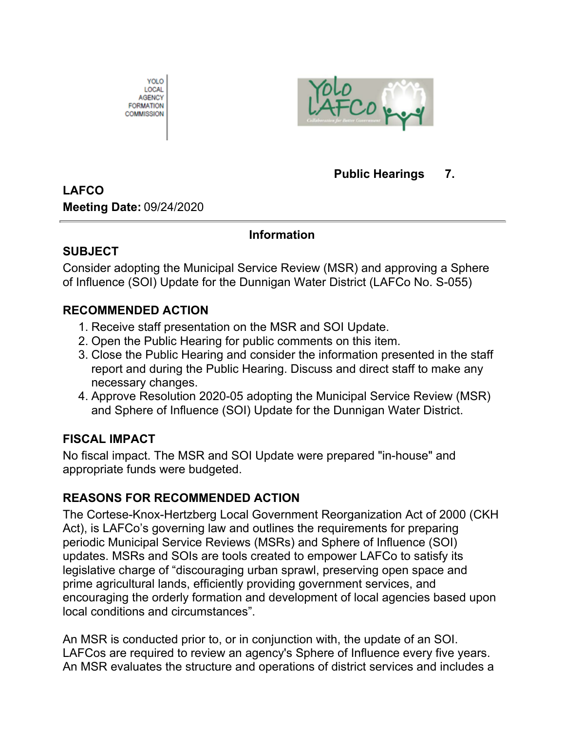



### **Public Hearings 7.**

# **LAFCO**

**Meeting Date:** 09/24/2020

## **Information**

### **SUBJECT**

Consider adopting the Municipal Service Review (MSR) and approving a Sphere of Influence (SOI) Update for the Dunnigan Water District (LAFCo No. S-055)

## **RECOMMENDED ACTION**

- 1. Receive staff presentation on the MSR and SOI Update.
- 2. Open the Public Hearing for public comments on this item.
- Close the Public Hearing and consider the information presented in the staff 3. report and during the Public Hearing. Discuss and direct staff to make any necessary changes.
- 4. Approve Resolution 2020-05 adopting the Municipal Service Review (MSR) and Sphere of Influence (SOI) Update for the Dunnigan Water District.

## **FISCAL IMPACT**

No fiscal impact. The MSR and SOI Update were prepared "in-house" and appropriate funds were budgeted.

## **REASONS FOR RECOMMENDED ACTION**

The Cortese-Knox-Hertzberg Local Government Reorganization Act of 2000 (CKH Act), is LAFCo's governing law and outlines the requirements for preparing periodic Municipal Service Reviews (MSRs) and Sphere of Influence (SOI) updates. MSRs and SOIs are tools created to empower LAFCo to satisfy its legislative charge of "discouraging urban sprawl, preserving open space and prime agricultural lands, efficiently providing government services, and encouraging the orderly formation and development of local agencies based upon local conditions and circumstances".

An MSR is conducted prior to, or in conjunction with, the update of an SOI. LAFCos are required to review an agency's Sphere of Influence every five years. An MSR evaluates the structure and operations of district services and includes a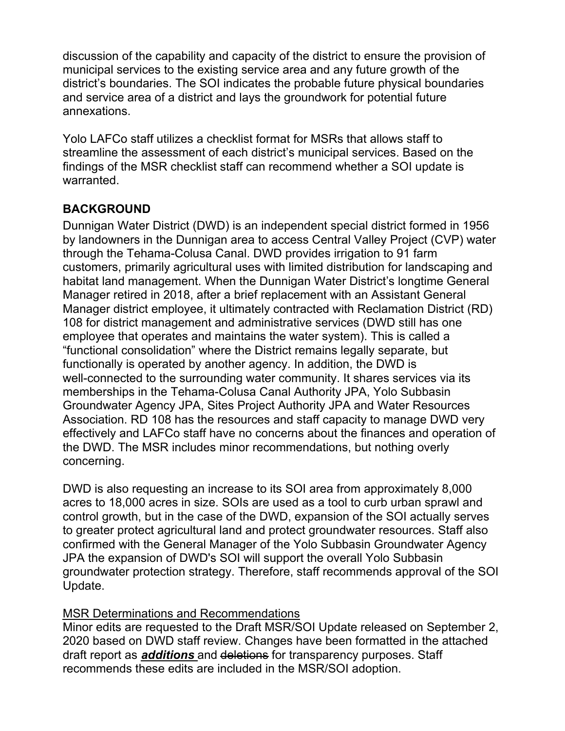discussion of the capability and capacity of the district to ensure the provision of municipal services to the existing service area and any future growth of the district's boundaries. The SOI indicates the probable future physical boundaries and service area of a district and lays the groundwork for potential future annexations.

Yolo LAFCo staff utilizes a checklist format for MSRs that allows staff to streamline the assessment of each district's municipal services. Based on the findings of the MSR checklist staff can recommend whether a SOI update is warranted.

## **BACKGROUND**

Dunnigan Water District (DWD) is an independent special district formed in 1956 by landowners in the Dunnigan area to access Central Valley Project (CVP) water through the Tehama-Colusa Canal. DWD provides irrigation to 91 farm customers, primarily agricultural uses with limited distribution for landscaping and habitat land management. When the Dunnigan Water District's longtime General Manager retired in 2018, after a brief replacement with an Assistant General Manager district employee, it ultimately contracted with Reclamation District (RD) 108 for district management and administrative services (DWD still has one employee that operates and maintains the water system). This is called a "functional consolidation" where the District remains legally separate, but functionally is operated by another agency. In addition, the DWD is well-connected to the surrounding water community. It shares services via its memberships in the Tehama-Colusa Canal Authority JPA, Yolo Subbasin Groundwater Agency JPA, Sites Project Authority JPA and Water Resources Association. RD 108 has the resources and staff capacity to manage DWD very effectively and LAFCo staff have no concerns about the finances and operation of the DWD. The MSR includes minor recommendations, but nothing overly concerning.

DWD is also requesting an increase to its SOI area from approximately 8,000 acres to 18,000 acres in size. SOIs are used as a tool to curb urban sprawl and control growth, but in the case of the DWD, expansion of the SOI actually serves to greater protect agricultural land and protect groundwater resources. Staff also confirmed with the General Manager of the Yolo Subbasin Groundwater Agency JPA the expansion of DWD's SOI will support the overall Yolo Subbasin groundwater protection strategy. Therefore, staff recommends approval of the SOI Update.

### MSR Determinations and Recommendations

Minor edits are requested to the Draft MSR/SOI Update released on September 2, 2020 based on DWD staff review. Changes have been formatted in the attached draft report as *additions* and deletions for transparency purposes. Staff recommends these edits are included in the MSR/SOI adoption.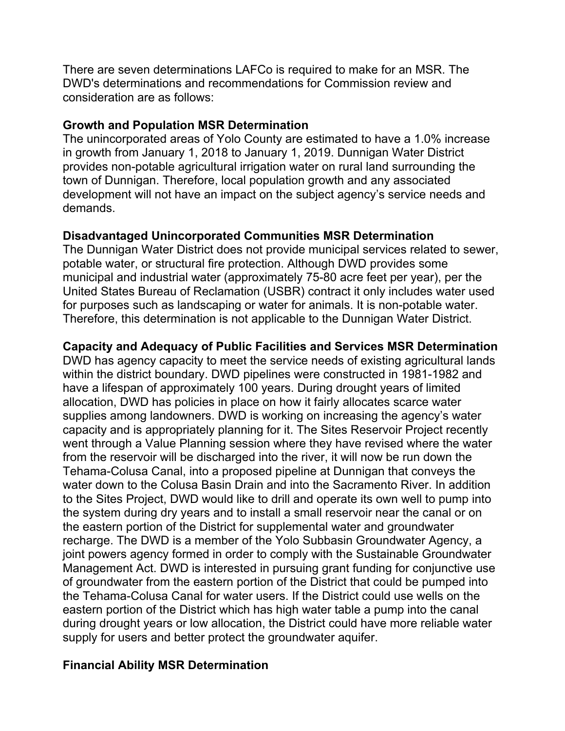There are seven determinations LAFCo is required to make for an MSR. The DWD's determinations and recommendations for Commission review and consideration are as follows:

#### **Growth and Population MSR Determination**

The unincorporated areas of Yolo County are estimated to have a 1.0% increase in growth from January 1, 2018 to January 1, 2019. Dunnigan Water District provides non-potable agricultural irrigation water on rural land surrounding the town of Dunnigan. Therefore, local population growth and any associated development will not have an impact on the subject agency's service needs and demands.

#### **Disadvantaged Unincorporated Communities MSR Determination**

The Dunnigan Water District does not provide municipal services related to sewer, potable water, or structural fire protection. Although DWD provides some municipal and industrial water (approximately 75-80 acre feet per year), per the United States Bureau of Reclamation (USBR) contract it only includes water used for purposes such as landscaping or water for animals. It is non-potable water. Therefore, this determination is not applicable to the Dunnigan Water District.

#### **Capacity and Adequacy of Public Facilities and Services MSR Determination**

DWD has agency capacity to meet the service needs of existing agricultural lands within the district boundary. DWD pipelines were constructed in 1981-1982 and have a lifespan of approximately 100 years. During drought years of limited allocation, DWD has policies in place on how it fairly allocates scarce water supplies among landowners. DWD is working on increasing the agency's water capacity and is appropriately planning for it. The Sites Reservoir Project recently went through a Value Planning session where they have revised where the water from the reservoir will be discharged into the river, it will now be run down the Tehama-Colusa Canal, into a proposed pipeline at Dunnigan that conveys the water down to the Colusa Basin Drain and into the Sacramento River. In addition to the Sites Project, DWD would like to drill and operate its own well to pump into the system during dry years and to install a small reservoir near the canal or on the eastern portion of the District for supplemental water and groundwater recharge. The DWD is a member of the Yolo Subbasin Groundwater Agency, a joint powers agency formed in order to comply with the Sustainable Groundwater Management Act. DWD is interested in pursuing grant funding for conjunctive use of groundwater from the eastern portion of the District that could be pumped into the Tehama-Colusa Canal for water users. If the District could use wells on the eastern portion of the District which has high water table a pump into the canal during drought years or low allocation, the District could have more reliable water supply for users and better protect the groundwater aquifer.

#### **Financial Ability MSR Determination**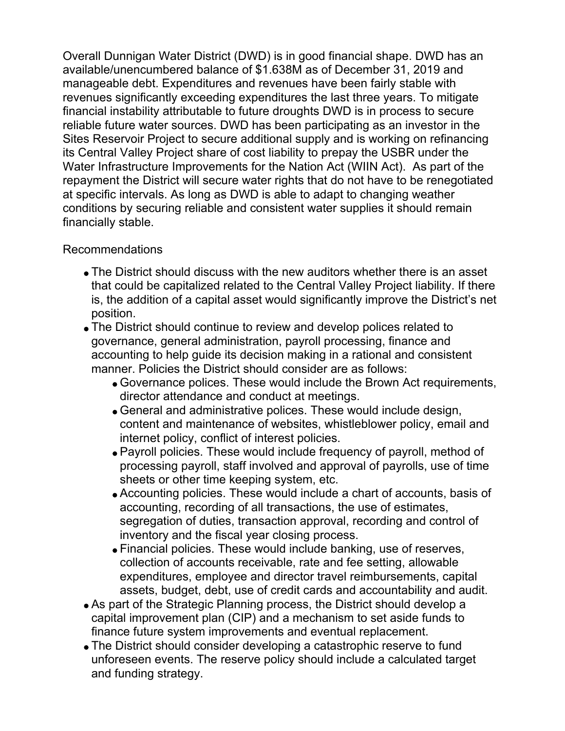Overall Dunnigan Water District (DWD) is in good financial shape. DWD has an available/unencumbered balance of \$1.638M as of December 31, 2019 and manageable debt. Expenditures and revenues have been fairly stable with revenues significantly exceeding expenditures the last three years. To mitigate financial instability attributable to future droughts DWD is in process to secure reliable future water sources. DWD has been participating as an investor in the Sites Reservoir Project to secure additional supply and is working on refinancing its Central Valley Project share of cost liability to prepay the USBR under the Water Infrastructure Improvements for the Nation Act (WIIN Act). As part of the repayment the District will secure water rights that do not have to be renegotiated at specific intervals. As long as DWD is able to adapt to changing weather conditions by securing reliable and consistent water supplies it should remain financially stable.

#### Recommendations

- The District should discuss with the new auditors whether there is an asset that could be capitalized related to the Central Valley Project liability. If there is, the addition of a capital asset would significantly improve the District's net position.
- The District should continue to review and develop polices related to governance, general administration, payroll processing, finance and accounting to help guide its decision making in a rational and consistent manner. Policies the District should consider are as follows:
	- Governance polices. These would include the Brown Act requirements, director attendance and conduct at meetings.
	- General and administrative polices. These would include design, content and maintenance of websites, whistleblower policy, email and internet policy, conflict of interest policies.
	- Payroll policies. These would include frequency of payroll, method of processing payroll, staff involved and approval of payrolls, use of time sheets or other time keeping system, etc.
	- Accounting policies. These would include a chart of accounts, basis of accounting, recording of all transactions, the use of estimates, segregation of duties, transaction approval, recording and control of inventory and the fiscal year closing process.
	- Financial policies. These would include banking, use of reserves, collection of accounts receivable, rate and fee setting, allowable expenditures, employee and director travel reimbursements, capital assets, budget, debt, use of credit cards and accountability and audit.
- As part of the Strategic Planning process, the District should develop a capital improvement plan (CIP) and a mechanism to set aside funds to finance future system improvements and eventual replacement.
- The District should consider developing a catastrophic reserve to fund unforeseen events. The reserve policy should include a calculated target and funding strategy.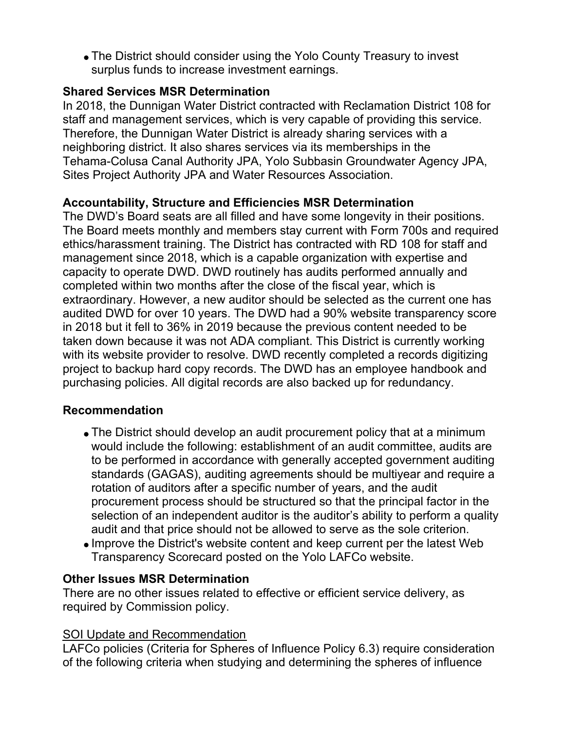The District should consider using the Yolo County Treasury to invest surplus funds to increase investment earnings.

#### **Shared Services MSR Determination**

In 2018, the Dunnigan Water District contracted with Reclamation District 108 for staff and management services, which is very capable of providing this service. Therefore, the Dunnigan Water District is already sharing services with a neighboring district. It also shares services via its memberships in the Tehama-Colusa Canal Authority JPA, Yolo Subbasin Groundwater Agency JPA, Sites Project Authority JPA and Water Resources Association.

### **Accountability, Structure and Efficiencies MSR Determination**

The DWD's Board seats are all filled and have some longevity in their positions. The Board meets monthly and members stay current with Form 700s and required ethics/harassment training. The District has contracted with RD 108 for staff and management since 2018, which is a capable organization with expertise and capacity to operate DWD. DWD routinely has audits performed annually and completed within two months after the close of the fiscal year, which is extraordinary. However, a new auditor should be selected as the current one has audited DWD for over 10 years. The DWD had a 90% website transparency score in 2018 but it fell to 36% in 2019 because the previous content needed to be taken down because it was not ADA compliant. This District is currently working with its website provider to resolve. DWD recently completed a records digitizing project to backup hard copy records. The DWD has an employee handbook and purchasing policies. All digital records are also backed up for redundancy.

### **Recommendation**

- The District should develop an audit procurement policy that at a minimum would include the following: establishment of an audit committee, audits are to be performed in accordance with generally accepted government auditing standards (GAGAS), auditing agreements should be multiyear and require a rotation of auditors after a specific number of years, and the audit procurement process should be structured so that the principal factor in the selection of an independent auditor is the auditor's ability to perform a quality audit and that price should not be allowed to serve as the sole criterion.
- Improve the District's website content and keep current per the latest Web Transparency Scorecard posted on the Yolo LAFCo website.

### **Other Issues MSR Determination**

There are no other issues related to effective or efficient service delivery, as required by Commission policy.

#### SOI Update and Recommendation

LAFCo policies (Criteria for Spheres of Influence Policy 6.3) require consideration of the following criteria when studying and determining the spheres of influence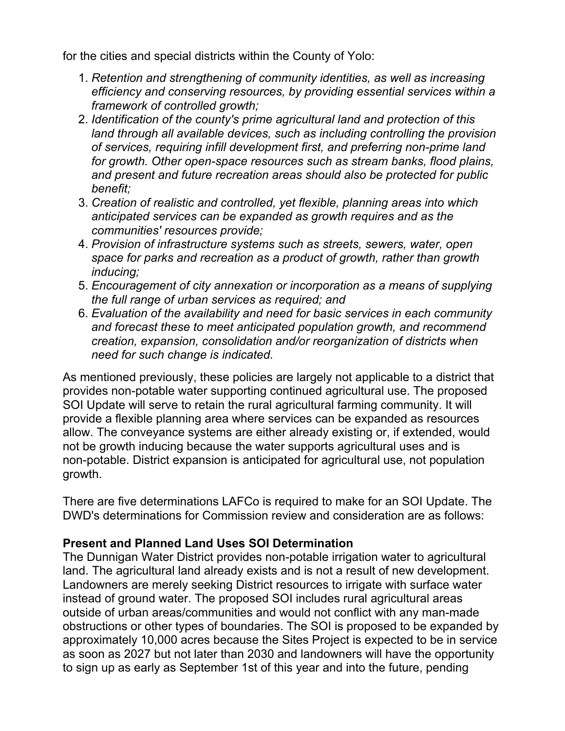for the cities and special districts within the County of Yolo:

- *Retention and strengthening of community identities, as well as increasing* 1. *efficiency and conserving resources, by providing essential services within a framework of controlled growth;*
- *Identification of the county's prime agricultural land and protection of this* 2. *land through all available devices, such as including controlling the provision of services, requiring infill development first, and preferring non-prime land for growth. Other open-space resources such as stream banks, flood plains, and present and future recreation areas should also be protected for public benefit;*
- *Creation of realistic and controlled, yet flexible, planning areas into which* 3. *anticipated services can be expanded as growth requires and as the communities' resources provide;*
- *Provision of infrastructure systems such as streets, sewers, water, open* 4. *space for parks and recreation as a product of growth, rather than growth inducing;*
- *Encouragement of city annexation or incorporation as a means of supplying* 5. *the full range of urban services as required; and*
- *Evaluation of the availability and need for basic services in each community* 6. *and forecast these to meet anticipated population growth, and recommend creation, expansion, consolidation and/or reorganization of districts when need for such change is indicated.*

As mentioned previously, these policies are largely not applicable to a district that provides non-potable water supporting continued agricultural use. The proposed SOI Update will serve to retain the rural agricultural farming community. It will provide a flexible planning area where services can be expanded as resources allow. The conveyance systems are either already existing or, if extended, would not be growth inducing because the water supports agricultural uses and is non-potable. District expansion is anticipated for agricultural use, not population growth.

There are five determinations LAFCo is required to make for an SOI Update. The DWD's determinations for Commission review and consideration are as follows:

### **Present and Planned Land Uses SOI Determination**

The Dunnigan Water District provides non-potable irrigation water to agricultural land. The agricultural land already exists and is not a result of new development. Landowners are merely seeking District resources to irrigate with surface water instead of ground water. The proposed SOI includes rural agricultural areas outside of urban areas/communities and would not conflict with any man-made obstructions or other types of boundaries. The SOI is proposed to be expanded by approximately 10,000 acres because the Sites Project is expected to be in service as soon as 2027 but not later than 2030 and landowners will have the opportunity to sign up as early as September 1st of this year and into the future, pending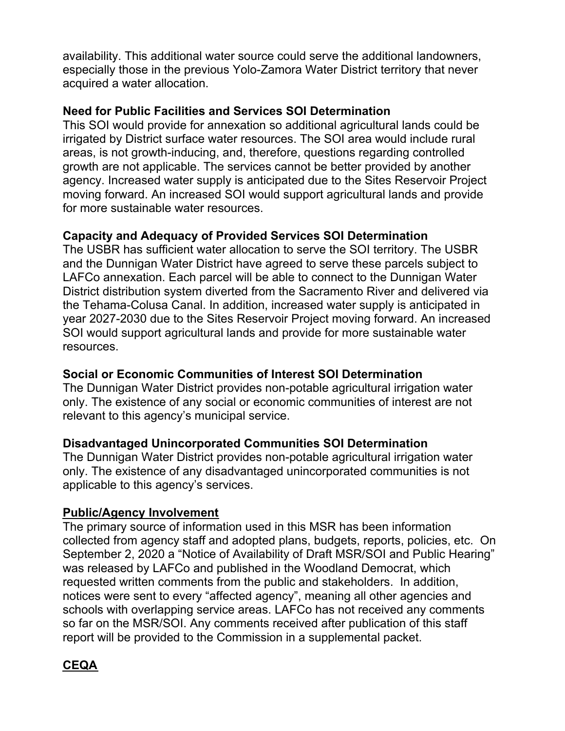availability. This additional water source could serve the additional landowners, especially those in the previous Yolo-Zamora Water District territory that never acquired a water allocation.

#### **Need for Public Facilities and Services SOI Determination**

This SOI would provide for annexation so additional agricultural lands could be irrigated by District surface water resources. The SOI area would include rural areas, is not growth-inducing, and, therefore, questions regarding controlled growth are not applicable. The services cannot be better provided by another agency. Increased water supply is anticipated due to the Sites Reservoir Project moving forward. An increased SOI would support agricultural lands and provide for more sustainable water resources.

### **Capacity and Adequacy of Provided Services SOI Determination**

The USBR has sufficient water allocation to serve the SOI territory. The USBR and the Dunnigan Water District have agreed to serve these parcels subject to LAFCo annexation. Each parcel will be able to connect to the Dunnigan Water District distribution system diverted from the Sacramento River and delivered via the Tehama-Colusa Canal. In addition, increased water supply is anticipated in year 2027-2030 due to the Sites Reservoir Project moving forward. An increased SOI would support agricultural lands and provide for more sustainable water resources.

#### **Social or Economic Communities of Interest SOI Determination**

The Dunnigan Water District provides non-potable agricultural irrigation water only. The existence of any social or economic communities of interest are not relevant to this agency's municipal service.

#### **Disadvantaged Unincorporated Communities SOI Determination**

The Dunnigan Water District provides non-potable agricultural irrigation water only. The existence of any disadvantaged unincorporated communities is not applicable to this agency's services.

#### **Public/Agency Involvement**

The primary source of information used in this MSR has been information collected from agency staff and adopted plans, budgets, reports, policies, etc. On September 2, 2020 a "Notice of Availability of Draft MSR/SOI and Public Hearing" was released by LAFCo and published in the Woodland Democrat, which requested written comments from the public and stakeholders. In addition, notices were sent to every "affected agency", meaning all other agencies and schools with overlapping service areas. LAFCo has not received any comments so far on the MSR/SOI. Any comments received after publication of this staff report will be provided to the Commission in a supplemental packet.

### **CEQA**